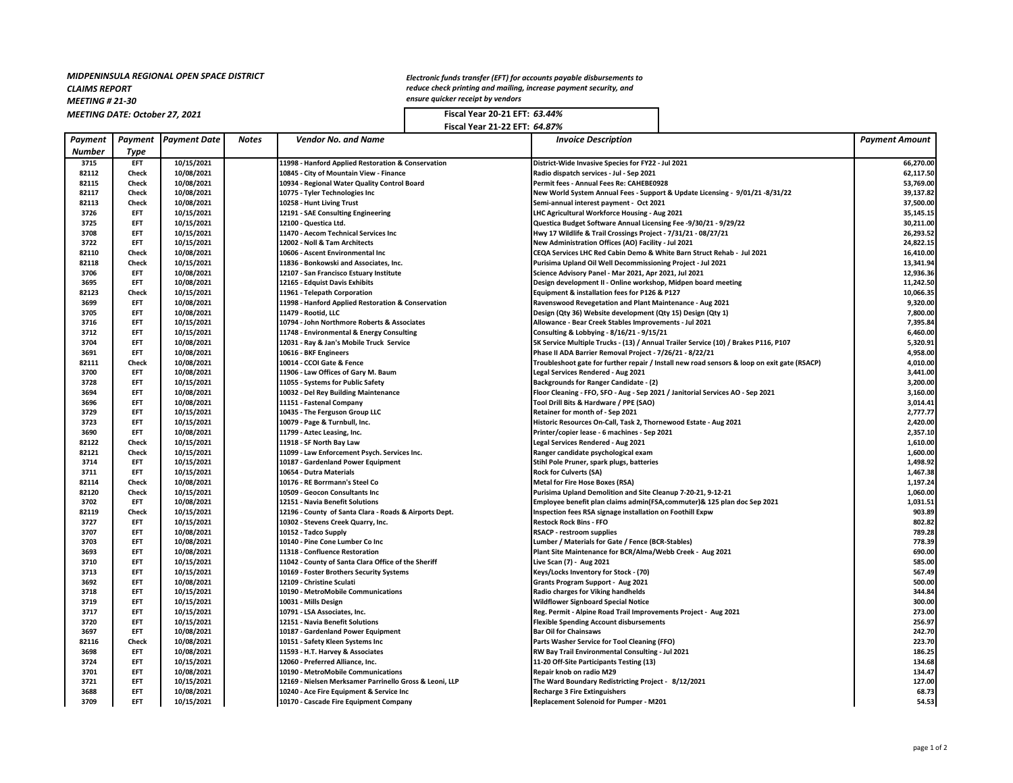#### *MIDPENINSULA REGIONAL OPEN SPACE DISTRICT CLAIMS REPORT*

*MEETING # 21-30*

*MEETING DATE: October 27, 2021* **Fiscal Year 20-21 EFT:** *63.44%*

*Electronic funds transfer (EFT) for accounts payable disbursements to reduce check printing and mailing, increase payment security, and ensure quicker receipt by vendors*

**Fiscal Year 21-22 EFT:** *64.87%*

| Payment       |                          | <b>Payment Payment</b> Date | Notes | <b>Vendor No. and Name</b>                                                         | <b>Invoice Description</b>                                                                  | <b>Payment Amount</b> |
|---------------|--------------------------|-----------------------------|-------|------------------------------------------------------------------------------------|---------------------------------------------------------------------------------------------|-----------------------|
| <b>Number</b> | Type                     |                             |       |                                                                                    |                                                                                             |                       |
| 3715          | EFT                      | 10/15/2021                  |       | 11998 - Hanford Applied Restoration & Conservation                                 | District-Wide Invasive Species for FY22 - Jul 2021                                          | 66,270.00             |
| 82112         | Check                    | 10/08/2021                  |       | 10845 - City of Mountain View - Finance                                            | Radio dispatch services - Jul - Sep 2021                                                    | 62,117.50             |
| 82115         | Check                    | 10/08/2021                  |       | 10934 - Regional Water Quality Control Board                                       | Permit fees - Annual Fees Re: CAHEBE0928                                                    | 53,769.00             |
| 82117         | Check                    | 10/08/2021                  |       | 10775 - Tyler Technologies Inc                                                     | New World System Annual Fees - Support & Update Licensing - 9/01/21-8/31/22                 | 39,137.82             |
| 82113         | Check                    | 10/08/2021                  |       | 10258 - Hunt Living Trust                                                          | Semi-annual interest payment - Oct 2021                                                     | 37,500.00             |
| 3726          | EFT                      | 10/15/2021                  |       | 12191 - SAE Consulting Engineering                                                 | LHC Agricultural Workforce Housing - Aug 2021                                               | 35,145.15             |
| 3725          | EFT                      | 10/15/2021                  |       | 12100 - Questica Ltd.                                                              | Questica Budget Software Annual Licensing Fee -9/30/21 - 9/29/22                            | 30,211.00             |
| 3708          | EFT                      | 10/15/2021                  |       | 11470 - Aecom Technical Services Inc                                               | Hwy 17 Wildlife & Trail Crossings Project - 7/31/21 - 08/27/21                              | 26,293.52             |
| 3722          | EFT                      | 10/15/2021                  |       | 12002 - Noll & Tam Architects                                                      | New Administration Offices (AO) Facility - Jul 2021                                         | 24,822.15             |
| 82110         | <b>Check</b>             | 10/08/2021                  |       | 10606 - Ascent Environmental Inc                                                   | CEQA Services LHC Red Cabin Demo & White Barn Struct Rehab - Jul 2021                       | 16,410.00             |
| 82118         | Check                    | 10/15/2021                  |       | 11836 - Bonkowski and Associates, Inc.                                             | Purisima Upland Oil Well Decommissioning Project - Jul 2021                                 | 13,341.94             |
| 3706          | EFT                      | 10/08/2021                  |       | 12107 - San Francisco Estuary Institute                                            | Science Advisory Panel - Mar 2021, Apr 2021, Jul 2021                                       | 12,936.36             |
| 3695          | EFT                      | 10/08/2021                  |       | 12165 - Edquist Davis Exhibits                                                     | Design development II - Online workshop, Midpen board meeting                               | 11,242.50             |
| 82123         | <b>Check</b>             | 10/15/2021                  |       | 11961 - Telepath Corporation                                                       | Equipment & installation fees for P126 & P127                                               | 10,066.35             |
| 3699          | EFT                      | 10/08/2021                  |       | 11998 - Hanford Applied Restoration & Conservation                                 | Ravenswood Revegetation and Plant Maintenance - Aug 2021                                    | 9,320.00              |
| 3705          | EFT                      | 10/08/2021                  |       | 11479 - Rootid, LLC                                                                | Design (Qty 36) Website development (Qty 15) Design (Qty 1)                                 | 7,800.00              |
| 3716          | EFT                      | 10/15/2021                  |       | 10794 - John Northmore Roberts & Associates                                        | Allowance - Bear Creek Stables Improvements - Jul 2021                                      | 7,395.84              |
| 3712          | EFT                      | 10/15/2021                  |       | 11748 - Environmental & Energy Consulting                                          | Consulting & Lobbying - 8/16/21 - 9/15/21                                                   | 6,460.00              |
| 3704          | EFT                      | 10/08/2021                  |       | 12031 - Ray & Jan's Mobile Truck Service                                           | 5K Service Multiple Trucks - (13) / Annual Trailer Service (10) / Brakes P116, P107         | 5,320.91              |
| 3691          | EFT                      | 10/08/2021                  |       | 10616 - BKF Engineers                                                              | Phase II ADA Barrier Removal Project - 7/26/21 - 8/22/21                                    | 4,958.00              |
| 82111         | Check                    | 10/08/2021                  |       | 10014 - CCOI Gate & Fence                                                          | Troubleshoot gate for further repair / Install new road sensors & loop on exit gate (RSACP) | 4,010.00              |
| 3700          | EFT                      | 10/08/2021                  |       | 11906 - Law Offices of Gary M. Baum                                                | Legal Services Rendered - Aug 2021                                                          | 3,441.00              |
| 3728          | EFT                      | 10/15/2021                  |       | 11055 - Systems for Public Safety                                                  | <b>Backgrounds for Ranger Candidate - (2)</b>                                               | 3,200.00              |
| 3694          | EFT                      | 10/08/2021                  |       | 10032 - Del Rey Building Maintenance                                               | Floor Cleaning - FFO, SFO - Aug - Sep 2021 / Janitorial Services AO - Sep 2021              | 3,160.00              |
| 3696          | EFT                      | 10/08/2021                  |       | 11151 - Fastenal Company                                                           | Tool Drill Bits & Hardware / PPE (SAO)                                                      | 3,014.41              |
| 3729          | EFT                      | 10/15/2021                  |       | 10435 - The Ferguson Group LLC                                                     | Retainer for month of - Sep 2021                                                            | 2,777.77              |
| 3723          | EFT                      | 10/15/2021                  |       | 10079 - Page & Turnbull, Inc.                                                      | Historic Resources On-Call, Task 2, Thornewood Estate - Aug 2021                            | 2,420.00              |
| 3690          | EFT                      | 10/08/2021                  |       | 11799 - Aztec Leasing, Inc.                                                        | Printer/copier lease - 6 machines - Sep 2021                                                | 2,357.10              |
| 82122         | Check                    | 10/15/2021                  |       | 11918 - SF North Bay Law                                                           | Legal Services Rendered - Aug 2021                                                          | 1,610.00              |
| 82121         | <b>Check</b>             | 10/15/2021                  |       | 11099 - Law Enforcement Psych. Services Inc.                                       | Ranger candidate psychological exam                                                         | 1,600.00              |
| 3714          | EFT                      | 10/15/2021                  |       | 10187 - Gardenland Power Equipment                                                 | Stihl Pole Pruner, spark plugs, batteries                                                   | 1,498.92              |
| 3711          | EFT                      | 10/15/2021                  |       | 10654 - Dutra Materials                                                            | <b>Rock for Culverts (SA)</b>                                                               | 1,467.38              |
| 82114         | <b>Check</b>             | 10/08/2021                  |       | 10176 - RE Borrmann's Steel Co                                                     | <b>Metal for Fire Hose Boxes (RSA)</b>                                                      | 1,197.24              |
| 82120         | Check                    | 10/15/2021                  |       | 10509 - Geocon Consultants Inc                                                     | Purisima Upland Demolition and Site Cleanup 7-20-21, 9-12-21                                | 1,060.00              |
| 3702          | EFT                      | 10/08/2021                  |       | 12151 - Navia Benefit Solutions                                                    | Employee benefit plan claims admin(FSA,commuter)& 125 plan doc Sep 2021                     | 1,031.51              |
| 82119         | <b>Check</b>             | 10/15/2021                  |       | 12196 - County of Santa Clara - Roads & Airports Dept.                             | Inspection fees RSA signage installation on Foothill Expw                                   | 903.89                |
| 3727          | EFT                      | 10/15/2021                  |       | 10302 - Stevens Creek Quarry, Inc.                                                 | <b>Restock Rock Bins - FFO</b>                                                              | 802.82                |
| 3707          | EFT                      | 10/08/2021                  |       | 10152 - Tadco Supply                                                               | <b>RSACP - restroom supplies</b>                                                            | 789.28                |
| 3703          | EFT                      | 10/08/2021                  |       | 10140 - Pine Cone Lumber Co Inc                                                    | Lumber / Materials for Gate / Fence (BCR-Stables)                                           | 778.39                |
| 3693          | EFT                      | 10/08/2021                  |       | 11318 - Confluence Restoration                                                     | Plant Site Maintenance for BCR/Alma/Webb Creek - Aug 2021                                   | 690.00                |
| 3710          | EFT                      | 10/15/2021                  |       | 11042 - County of Santa Clara Office of the Sheriff                                | Live Scan (7) - Aug 2021                                                                    | 585.00                |
| 3713          | EFT                      | 10/15/2021                  |       | 10169 - Foster Brothers Security Systems                                           | Keys/Locks Inventory for Stock - (70)                                                       | 567.49                |
| 3692          | EFT                      | 10/08/2021                  |       | 12109 - Christine Sculati                                                          | Grants Program Support - Aug 2021                                                           | 500.00                |
| 3718          | EFT                      | 10/15/2021                  |       | 10190 - MetroMobile Communications                                                 | Radio charges for Viking handhelds                                                          | 344.84                |
| 3719          | EFT                      | 10/15/2021                  |       | 10031 - Mills Design                                                               | <b>Wildflower Signboard Special Notice</b>                                                  | 300.00                |
| 3717          | EFT                      | 10/15/2021                  |       | 10791 - LSA Associates, Inc.                                                       | Reg. Permit - Alpine Road Trail Improvements Project - Aug 2021                             | 273.00                |
| 3720<br>3697  | <b>EFT</b><br>EFT        | 10/15/2021                  |       | 12151 - Navia Benefit Solutions                                                    | <b>Flexible Spending Account disbursements</b>                                              | 256.97                |
|               |                          | 10/08/2021                  |       | 10187 - Gardenland Power Equipment                                                 | <b>Bar Oil for Chainsaws</b>                                                                | 242.70                |
| 82116         | Check<br><b>EFT</b>      | 10/08/2021                  |       | 10151 - Safety Kleen Systems Inc                                                   | Parts Washer Service for Tool Cleaning (FFO)                                                | 223.70                |
| 3698          |                          | 10/08/2021                  |       | 11593 - H.T. Harvey & Associates                                                   | RW Bay Trail Environmental Consulting - Jul 2021                                            | 186.25                |
| 3724          | EFT                      | 10/15/2021                  |       | 12060 - Preferred Alliance, Inc.                                                   | 11-20 Off-Site Participants Testing (13)                                                    | 134.68                |
| 3701<br>3721  | <b>EFT</b><br><b>EFT</b> | 10/08/2021                  |       | 10190 - MetroMobile Communications                                                 | Repair knob on radio M29                                                                    | 134.47                |
| 3688          | <b>EFT</b>               | 10/15/2021<br>10/08/2021    |       | 12169 - Nielsen Merksamer Parrinello Gross & Leoni, LLP                            | The Ward Boundary Redistricting Project - 8/12/2021                                         | 127.00<br>68.73       |
| 3709          | <b>EFT</b>               | 10/15/2021                  |       | 10240 - Ace Fire Equipment & Service Inc<br>10170 - Cascade Fire Equipment Company | <b>Recharge 3 Fire Extinguishers</b>                                                        | 54.53                 |
|               |                          |                             |       |                                                                                    | Replacement Solenoid for Pumper - M201                                                      |                       |